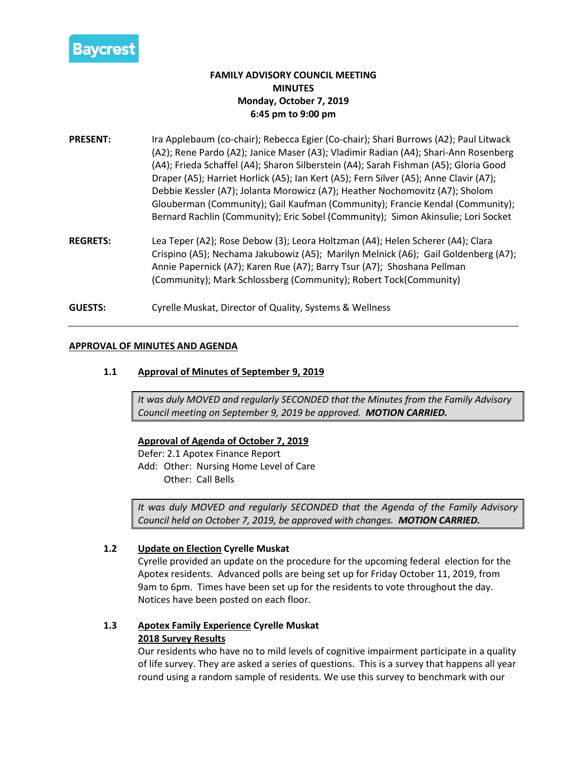

# **FAMILY ADVISORY COUNCIL MEETING MINUTES Monday, October 7, 2019 6:45 pm to 9:00 pm**

- **PRESENT:** Ira Applebaum (co-chair); Rebecca Egier (Co-chair); Shari Burrows (A2); Paul Litwack (A2); Rene Pardo (A2); Janice Maser (A3); Vladimir Radian (A4); Shari-Ann Rosenberg (A4); Frieda Schaffel (A4); Sharon Silberstein (A4); Sarah Fishman (A5); Gloria Good Draper (A5); Harriet Horlick (A5); Ian Kert (A5); Fern Silver (A5); Anne Clavir (A7); Debbie Kessler (A7); Jolanta Morowicz (A7); Heather Nochomovitz (A7); Sholom Glouberman (Community); Gail Kaufman (Community); Francie Kendal (Community); Bernard Rachlin (Community); Eric Sobel (Community); Simon Akinsulie; Lori Socket
- **REGRETS:** Lea Teper (A2); Rose Debow (3); Leora Holtzman (A4); Helen Scherer (A4); Clara Crispino (A5); Nechama Jakubowiz (A5); Marilyn Melnick (A6); Gail Goldenberg (A7); Annie Papernick (A7); Karen Rue (A7); Barry Tsur (A7); Shoshana Pellman (Community); Mark Schlossberg (Community); Robert Tock(Community)
- **GUESTS:** Cyrelle Muskat, Director of Quality, Systems & Wellness

# **APPROVAL OF MINUTES AND AGENDA**

# **1.1 Approval of Minutes of September 9, 2019**

*It was duly MOVED and regularly SECONDED that the Minutes from the Family Advisory Council meeting on September 9, 2019 be approved. MOTION CARRIED.*

**Approval of Agenda of October 7, 2019**

Defer: 2.1 Apotex Finance Report Add: Other: Nursing Home Level of Care Other: Call Bells

*It was duly MOVED and regularly SECONDED that the Agenda of the Family Advisory Council held on October 7, 2019, be approved with changes. MOTION CARRIED.*

### **1.2 Update on Election Cyrelle Muskat**

Cyrelle provided an update on the procedure for the upcoming federal election for the Apotex residents. Advanced polls are being set up for Friday October 11, 2019, from 9am to 6pm. Times have been set up for the residents to vote throughout the day. Notices have been posted on each floor.

# **1.3 Apotex Family Experience Cyrelle Muskat 2018 Survey Results**

Our residents who have no to mild levels of cognitive impairment participate in a quality of life survey. They are asked a series of questions. This is a survey that happens all year round using a random sample of residents. We use this survey to benchmark with our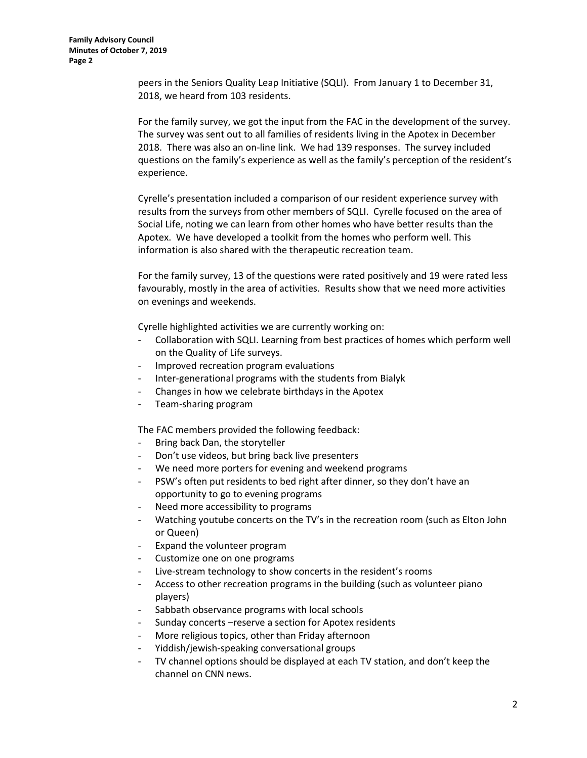peers in the Seniors Quality Leap Initiative (SQLI). From January 1 to December 31, 2018, we heard from 103 residents.

For the family survey, we got the input from the FAC in the development of the survey. The survey was sent out to all families of residents living in the Apotex in December 2018. There was also an on-line link. We had 139 responses. The survey included questions on the family's experience as well as the family's perception of the resident's experience.

Cyrelle's presentation included a comparison of our resident experience survey with results from the surveys from other members of SQLI. Cyrelle focused on the area of Social Life, noting we can learn from other homes who have better results than the Apotex. We have developed a toolkit from the homes who perform well. This information is also shared with the therapeutic recreation team.

For the family survey, 13 of the questions were rated positively and 19 were rated less favourably, mostly in the area of activities. Results show that we need more activities on evenings and weekends.

Cyrelle highlighted activities we are currently working on:

- Collaboration with SQLI. Learning from best practices of homes which perform well on the Quality of Life surveys.
- Improved recreation program evaluations
- Inter-generational programs with the students from Bialyk
- Changes in how we celebrate birthdays in the Apotex
- Team-sharing program

The FAC members provided the following feedback:

- Bring back Dan, the storyteller
- Don't use videos, but bring back live presenters
- We need more porters for evening and weekend programs
- PSW's often put residents to bed right after dinner, so they don't have an opportunity to go to evening programs
- Need more accessibility to programs
- Watching youtube concerts on the TV's in the recreation room (such as Elton John or Queen)
- Expand the volunteer program
- Customize one on one programs
- Live-stream technology to show concerts in the resident's rooms
- Access to other recreation programs in the building (such as volunteer piano players)
- Sabbath observance programs with local schools
- Sunday concerts –reserve a section for Apotex residents
- More religious topics, other than Friday afternoon
- Yiddish/jewish-speaking conversational groups
- TV channel options should be displayed at each TV station, and don't keep the channel on CNN news.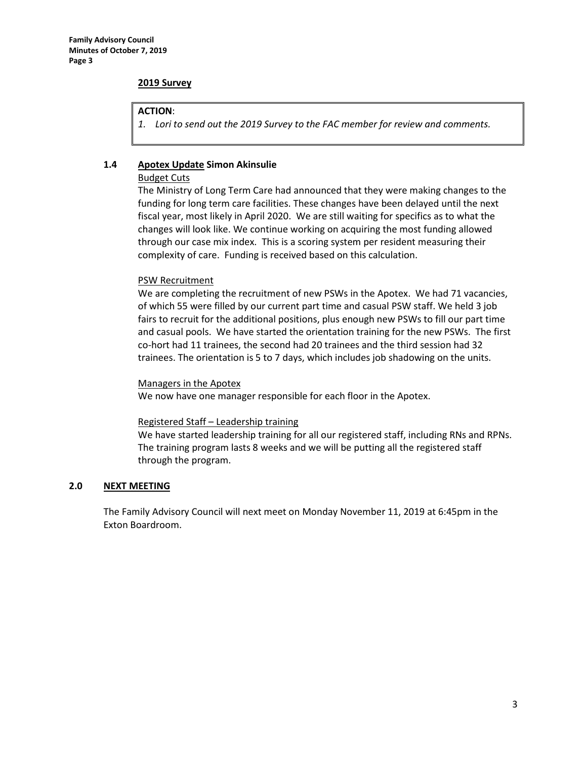### **2019 Survey**

### **ACTION**:

*1. Lori to send out the 2019 Survey to the FAC member for review and comments.*

# **1.4 Apotex Update Simon Akinsulie**

### Budget Cuts

The Ministry of Long Term Care had announced that they were making changes to the funding for long term care facilities. These changes have been delayed until the next fiscal year, most likely in April 2020. We are still waiting for specifics as to what the changes will look like. We continue working on acquiring the most funding allowed through our case mix index. This is a scoring system per resident measuring their complexity of care. Funding is received based on this calculation.

# PSW Recruitment

We are completing the recruitment of new PSWs in the Apotex. We had 71 vacancies, of which 55 were filled by our current part time and casual PSW staff. We held 3 job fairs to recruit for the additional positions, plus enough new PSWs to fill our part time and casual pools. We have started the orientation training for the new PSWs. The first co-hort had 11 trainees, the second had 20 trainees and the third session had 32 trainees. The orientation is 5 to 7 days, which includes job shadowing on the units.

### Managers in the Apotex

We now have one manager responsible for each floor in the Apotex.

### Registered Staff – Leadership training

We have started leadership training for all our registered staff, including RNs and RPNs. The training program lasts 8 weeks and we will be putting all the registered staff through the program.

### **2.0 NEXT MEETING**

The Family Advisory Council will next meet on Monday November 11, 2019 at 6:45pm in the Exton Boardroom.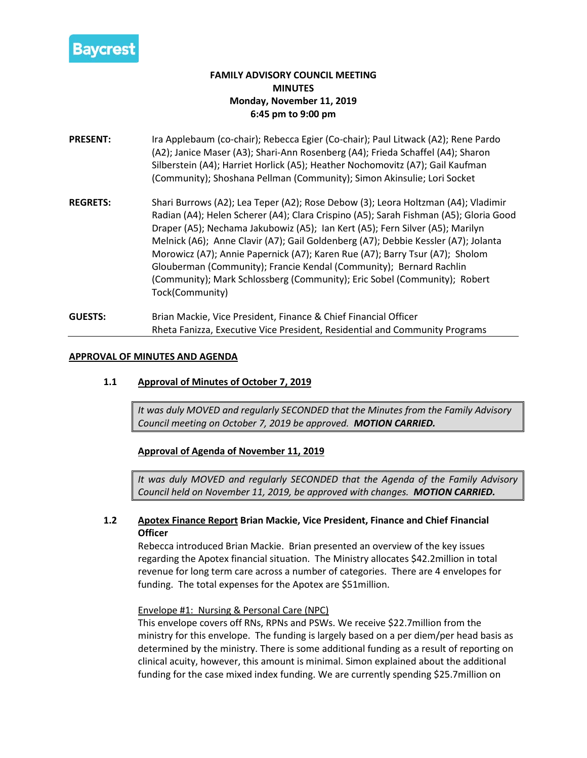

# **FAMILY ADVISORY COUNCIL MEETING MINUTES Monday, November 11, 2019 6:45 pm to 9:00 pm**

- **PRESENT:** Ira Applebaum (co-chair); Rebecca Egier (Co-chair); Paul Litwack (A2); Rene Pardo (A2); Janice Maser (A3); Shari-Ann Rosenberg (A4); Frieda Schaffel (A4); Sharon Silberstein (A4); Harriet Horlick (A5); Heather Nochomovitz (A7); Gail Kaufman (Community); Shoshana Pellman (Community); Simon Akinsulie; Lori Socket
- **REGRETS:** Shari Burrows (A2); Lea Teper (A2); Rose Debow (3); Leora Holtzman (A4); Vladimir Radian (A4); Helen Scherer (A4); Clara Crispino (A5); Sarah Fishman (A5); Gloria Good Draper (A5); Nechama Jakubowiz (A5); Ian Kert (A5); Fern Silver (A5); Marilyn Melnick (A6); Anne Clavir (A7); Gail Goldenberg (A7); Debbie Kessler (A7); Jolanta Morowicz (A7); Annie Papernick (A7); Karen Rue (A7); Barry Tsur (A7); Sholom Glouberman (Community); Francie Kendal (Community); Bernard Rachlin (Community); Mark Schlossberg (Community); Eric Sobel (Community); Robert Tock(Community)
- **GUESTS:** Brian Mackie, Vice President, Finance & Chief Financial Officer Rheta Fanizza, Executive Vice President, Residential and Community Programs

# **APPROVAL OF MINUTES AND AGENDA**

**1.1 Approval of Minutes of October 7, 2019**

*It was duly MOVED and regularly SECONDED that the Minutes from the Family Advisory Council meeting on October 7, 2019 be approved. MOTION CARRIED.*

**Approval of Agenda of November 11, 2019**

*It was duly MOVED and regularly SECONDED that the Agenda of the Family Advisory Council held on November 11, 2019, be approved with changes. MOTION CARRIED.*

# **1.2 Apotex Finance Report Brian Mackie, Vice President, Finance and Chief Financial Officer**

Rebecca introduced Brian Mackie. Brian presented an overview of the key issues regarding the Apotex financial situation. The Ministry allocates \$42.2million in total revenue for long term care across a number of categories. There are 4 envelopes for funding. The total expenses for the Apotex are \$51million.

# Envelope #1: Nursing & Personal Care (NPC)

This envelope covers off RNs, RPNs and PSWs. We receive \$22.7million from the ministry for this envelope. The funding is largely based on a per diem/per head basis as determined by the ministry. There is some additional funding as a result of reporting on clinical acuity, however, this amount is minimal. Simon explained about the additional funding for the case mixed index funding. We are currently spending \$25.7million on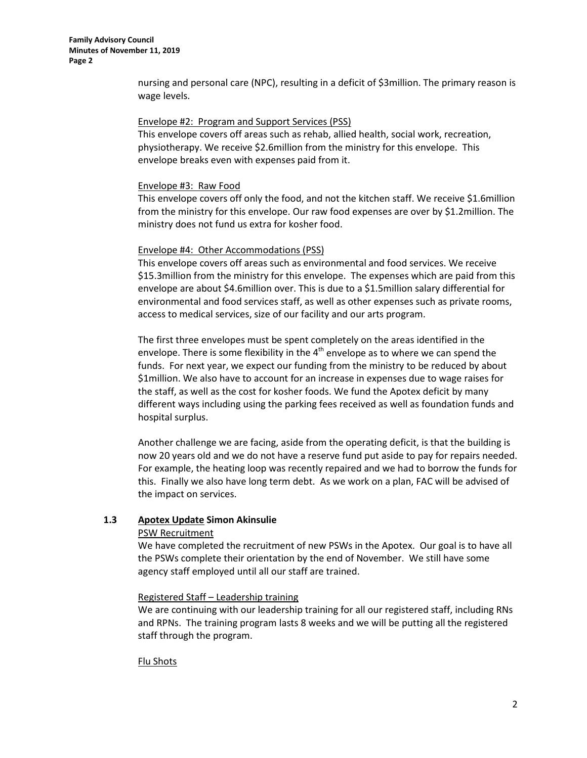**Family Advisory Council Minutes of November 11, 2019 Page 2**

> nursing and personal care (NPC), resulting in a deficit of \$3million. The primary reason is wage levels.

#### Envelope #2: Program and Support Services (PSS)

This envelope covers off areas such as rehab, allied health, social work, recreation, physiotherapy. We receive \$2.6million from the ministry for this envelope. This envelope breaks even with expenses paid from it.

#### Envelope #3: Raw Food

This envelope covers off only the food, and not the kitchen staff. We receive \$1.6million from the ministry for this envelope. Our raw food expenses are over by \$1.2million. The ministry does not fund us extra for kosher food.

#### Envelope #4: Other Accommodations (PSS)

This envelope covers off areas such as environmental and food services. We receive \$15.3million from the ministry for this envelope. The expenses which are paid from this envelope are about \$4.6million over. This is due to a \$1.5million salary differential for environmental and food services staff, as well as other expenses such as private rooms, access to medical services, size of our facility and our arts program.

The first three envelopes must be spent completely on the areas identified in the envelope. There is some flexibility in the  $4<sup>th</sup>$  envelope as to where we can spend the funds. For next year, we expect our funding from the ministry to be reduced by about \$1million. We also have to account for an increase in expenses due to wage raises for the staff, as well as the cost for kosher foods. We fund the Apotex deficit by many different ways including using the parking fees received as well as foundation funds and hospital surplus.

Another challenge we are facing, aside from the operating deficit, is that the building is now 20 years old and we do not have a reserve fund put aside to pay for repairs needed. For example, the heating loop was recently repaired and we had to borrow the funds for this. Finally we also have long term debt. As we work on a plan, FAC will be advised of the impact on services.

### **1.3 Apotex Update Simon Akinsulie**

#### PSW Recruitment

We have completed the recruitment of new PSWs in the Apotex. Our goal is to have all the PSWs complete their orientation by the end of November. We still have some agency staff employed until all our staff are trained.

#### Registered Staff – Leadership training

We are continuing with our leadership training for all our registered staff, including RNs and RPNs. The training program lasts 8 weeks and we will be putting all the registered staff through the program.

### Flu Shots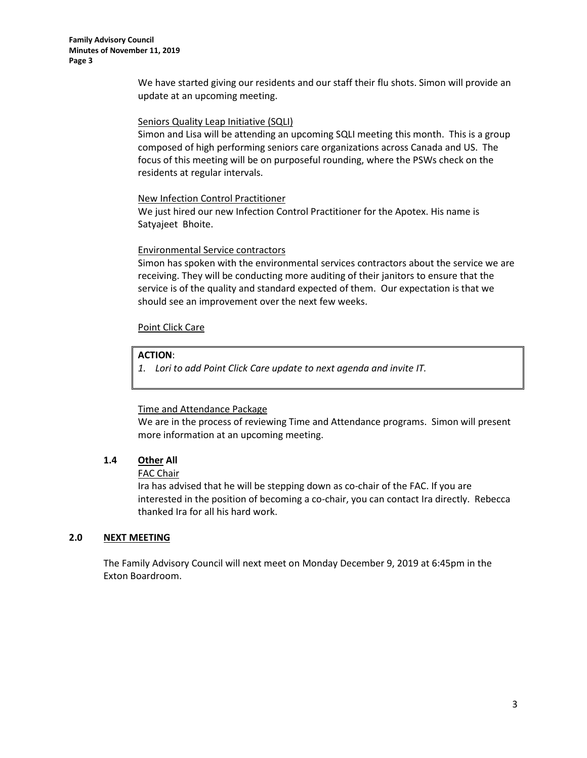We have started giving our residents and our staff their flu shots. Simon will provide an update at an upcoming meeting.

### Seniors Quality Leap Initiative (SQLI)

Simon and Lisa will be attending an upcoming SQLI meeting this month. This is a group composed of high performing seniors care organizations across Canada and US. The focus of this meeting will be on purposeful rounding, where the PSWs check on the residents at regular intervals.

### New Infection Control Practitioner

We just hired our new Infection Control Practitioner for the Apotex. His name is Satyajeet Bhoite.

# Environmental Service contractors

Simon has spoken with the environmental services contractors about the service we are receiving. They will be conducting more auditing of their janitors to ensure that the service is of the quality and standard expected of them. Our expectation is that we should see an improvement over the next few weeks.

# Point Click Care

# **ACTION**:

*1. Lori to add Point Click Care update to next agenda and invite IT.*

### Time and Attendance Package

We are in the process of reviewing Time and Attendance programs. Simon will present more information at an upcoming meeting.

# **1.4 Other All**

### FAC Chair

Ira has advised that he will be stepping down as co-chair of the FAC. If you are interested in the position of becoming a co-chair, you can contact Ira directly. Rebecca thanked Ira for all his hard work.

### **2.0 NEXT MEETING**

The Family Advisory Council will next meet on Monday December 9, 2019 at 6:45pm in the Exton Boardroom.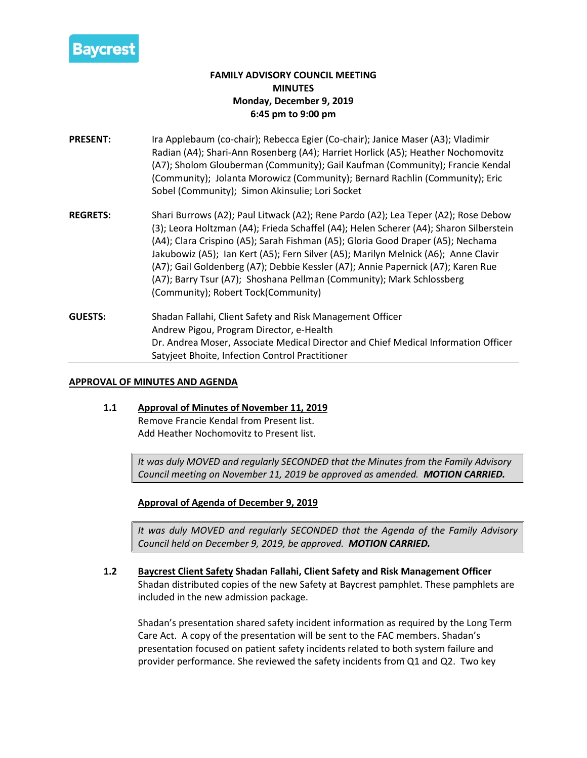

# **FAMILY ADVISORY COUNCIL MEETING MINUTES Monday, December 9, 2019 6:45 pm to 9:00 pm**

- **PRESENT:** Ira Applebaum (co-chair); Rebecca Egier (Co-chair); Janice Maser (A3); Vladimir Radian (A4); Shari-Ann Rosenberg (A4); Harriet Horlick (A5); Heather Nochomovitz (A7); Sholom Glouberman (Community); Gail Kaufman (Community); Francie Kendal (Community); Jolanta Morowicz (Community); Bernard Rachlin (Community); Eric Sobel (Community); Simon Akinsulie; Lori Socket
- **REGRETS:** Shari Burrows (A2); Paul Litwack (A2); Rene Pardo (A2); Lea Teper (A2); Rose Debow (3); Leora Holtzman (A4); Frieda Schaffel (A4); Helen Scherer (A4); Sharon Silberstein (A4); Clara Crispino (A5); Sarah Fishman (A5); Gloria Good Draper (A5); Nechama Jakubowiz (A5); Ian Kert (A5); Fern Silver (A5); Marilyn Melnick (A6); Anne Clavir (A7); Gail Goldenberg (A7); Debbie Kessler (A7); Annie Papernick (A7); Karen Rue (A7); Barry Tsur (A7); Shoshana Pellman (Community); Mark Schlossberg (Community); Robert Tock(Community)
- **GUESTS:** Shadan Fallahi, Client Safety and Risk Management Officer Andrew Pigou, Program Director, e-Health Dr. Andrea Moser, Associate Medical Director and Chief Medical Information Officer Satyjeet Bhoite, Infection Control Practitioner

# **APPROVAL OF MINUTES AND AGENDA**

# **1.1 Approval of Minutes of November 11, 2019** Remove Francie Kendal from Present list. Add Heather Nochomovitz to Present list.

*It was duly MOVED and regularly SECONDED that the Minutes from the Family Advisory Council meeting on November 11, 2019 be approved as amended. MOTION CARRIED.*

# **Approval of Agenda of December 9, 2019**

*It was duly MOVED and regularly SECONDED that the Agenda of the Family Advisory Council held on December 9, 2019, be approved. MOTION CARRIED.*

**1.2 Baycrest Client Safety Shadan Fallahi, Client Safety and Risk Management Officer** Shadan distributed copies of the new Safety at Baycrest pamphlet. These pamphlets are included in the new admission package.

Shadan's presentation shared safety incident information as required by the Long Term Care Act. A copy of the presentation will be sent to the FAC members. Shadan's presentation focused on patient safety incidents related to both system failure and provider performance. She reviewed the safety incidents from Q1 and Q2. Two key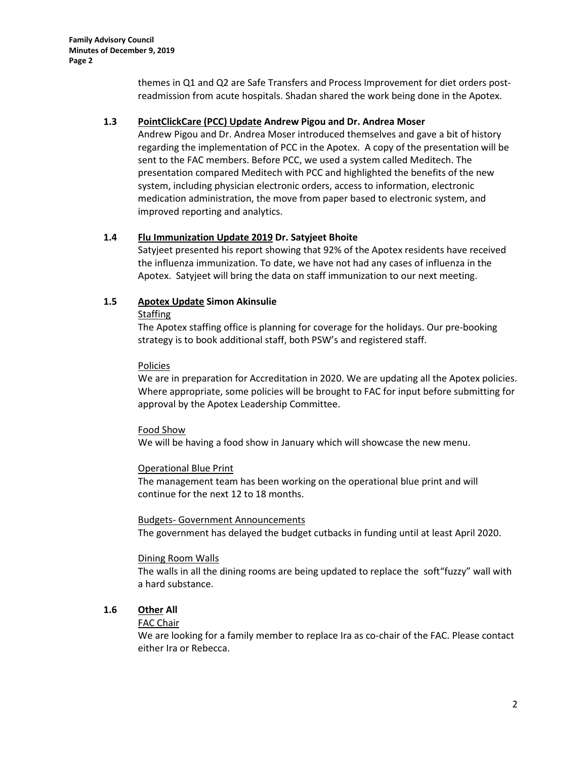themes in Q1 and Q2 are Safe Transfers and Process Improvement for diet orders postreadmission from acute hospitals. Shadan shared the work being done in the Apotex.

# **1.3 PointClickCare (PCC) Update Andrew Pigou and Dr. Andrea Moser**

Andrew Pigou and Dr. Andrea Moser introduced themselves and gave a bit of history regarding the implementation of PCC in the Apotex. A copy of the presentation will be sent to the FAC members. Before PCC, we used a system called Meditech. The presentation compared Meditech with PCC and highlighted the benefits of the new system, including physician electronic orders, access to information, electronic medication administration, the move from paper based to electronic system, and improved reporting and analytics.

# **1.4 Flu Immunization Update 2019 Dr. Satyjeet Bhoite**

Satyjeet presented his report showing that 92% of the Apotex residents have received the influenza immunization. To date, we have not had any cases of influenza in the Apotex. Satyjeet will bring the data on staff immunization to our next meeting.

# **1.5 Apotex Update Simon Akinsulie**

### **Staffing**

The Apotex staffing office is planning for coverage for the holidays. Our pre-booking strategy is to book additional staff, both PSW's and registered staff.

# Policies

We are in preparation for Accreditation in 2020. We are updating all the Apotex policies. Where appropriate, some policies will be brought to FAC for input before submitting for approval by the Apotex Leadership Committee.

### Food Show

We will be having a food show in January which will showcase the new menu.

### Operational Blue Print

The management team has been working on the operational blue print and will continue for the next 12 to 18 months.

### Budgets- Government Announcements

The government has delayed the budget cutbacks in funding until at least April 2020.

### Dining Room Walls

The walls in all the dining rooms are being updated to replace the soft"fuzzy" wall with a hard substance.

# **1.6 Other All**

# FAC Chair

We are looking for a family member to replace Ira as co-chair of the FAC. Please contact either Ira or Rebecca.